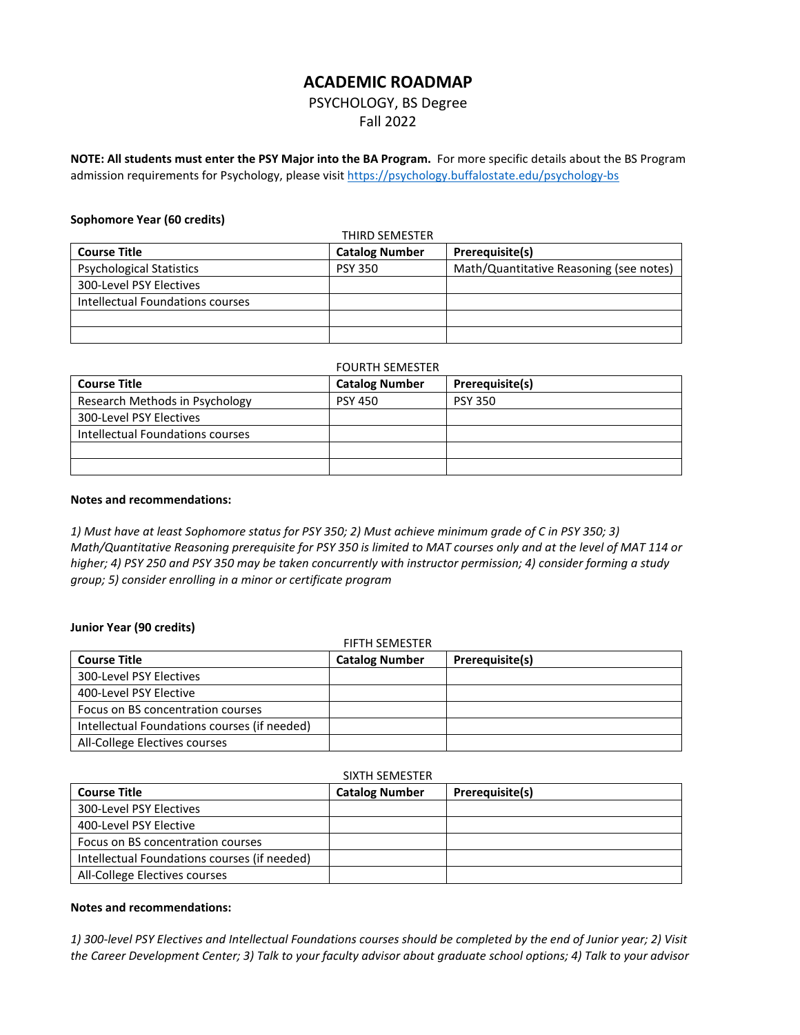# **ACADEMIC ROADMAP**

# PSYCHOLOGY, BS Degree Fall 2022

**NOTE: All students must enter the PSY Major into the BA Program.** For more specific details about the BS Program admission requirements for Psychology, please visit https://psychology.buffalostate.edu/psychology-bs

### **Sophomore Year (60 credits)**

| <b>THIRD SEMESTER</b>            |                       |                                         |
|----------------------------------|-----------------------|-----------------------------------------|
| <b>Course Title</b>              | <b>Catalog Number</b> | Prerequisite(s)                         |
| <b>Psychological Statistics</b>  | <b>PSY 350</b>        | Math/Quantitative Reasoning (see notes) |
| 300-Level PSY Electives          |                       |                                         |
| Intellectual Foundations courses |                       |                                         |
|                                  |                       |                                         |
|                                  |                       |                                         |

| <b>FOURTH SEMESTER</b>           |                       |                 |
|----------------------------------|-----------------------|-----------------|
| <b>Course Title</b>              | <b>Catalog Number</b> | Prerequisite(s) |
| Research Methods in Psychology   | <b>PSY 450</b>        | <b>PSY 350</b>  |
| 300-Level PSY Electives          |                       |                 |
| Intellectual Foundations courses |                       |                 |
|                                  |                       |                 |
|                                  |                       |                 |

#### **Notes and recommendations:**

*1) Must have at least Sophomore status for PSY 350; 2) Must achieve minimum grade of C in PSY 350; 3) Math/Quantitative Reasoning prerequisite for PSY 350 is limited to MAT courses only and at the level of MAT 114 or higher; 4) PSY 250 and PSY 350 may be taken concurrently with instructor permission; 4) consider forming a study group; 5) consider enrolling in a minor or certificate program*

### **Junior Year (90 credits)**

| <b>FIFTH SEMESTER</b>                        |                       |                 |
|----------------------------------------------|-----------------------|-----------------|
| <b>Course Title</b>                          | <b>Catalog Number</b> | Prerequisite(s) |
| 300-Level PSY Electives                      |                       |                 |
| 400-Level PSY Elective                       |                       |                 |
| Focus on BS concentration courses            |                       |                 |
| Intellectual Foundations courses (if needed) |                       |                 |
| All-College Electives courses                |                       |                 |

# SIXTH SEMESTER

| <b>Course Title</b>                          | <b>Catalog Number</b> | Prerequisite(s) |
|----------------------------------------------|-----------------------|-----------------|
| 300-Level PSY Electives                      |                       |                 |
| 400-Level PSY Elective                       |                       |                 |
| Focus on BS concentration courses            |                       |                 |
| Intellectual Foundations courses (if needed) |                       |                 |
| All-College Electives courses                |                       |                 |

#### **Notes and recommendations:**

*1) 300-level PSY Electives and Intellectual Foundations courses should be completed by the end of Junior year; 2) Visit the Career Development Center; 3) Talk to your faculty advisor about graduate school options; 4) Talk to your advisor*